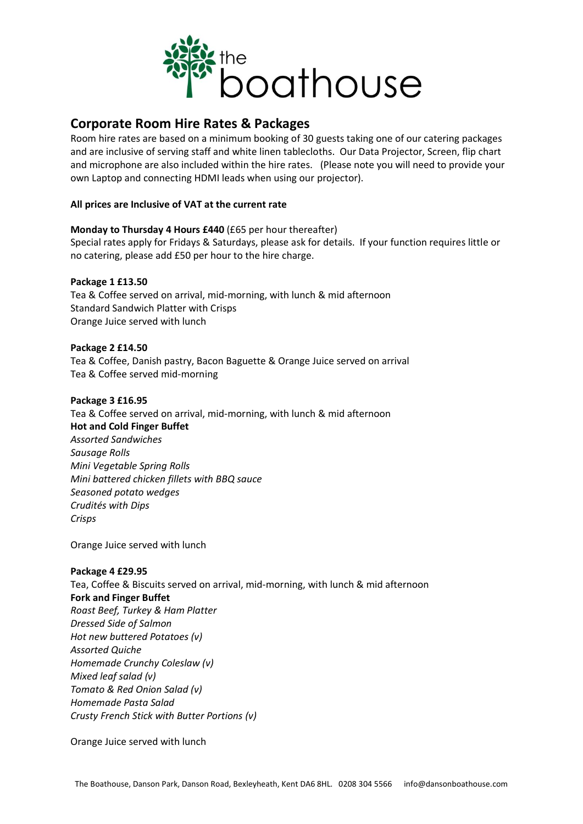

# **Corporate Room Hire Rates & Packages**

Room hire rates are based on a minimum booking of 30 guests taking one of our catering packages and are inclusive of serving staff and white linen tablecloths. Our Data Projector, Screen, flip chart and microphone are also included within the hire rates. (Please note you will need to provide your own Laptop and connecting HDMI leads when using our projector).

### **All prices are Inclusive of VAT at the current rate**

**Monday to Thursday 4 Hours £440** (£65 per hour thereafter) Special rates apply for Fridays & Saturdays, please ask for details. If your function requires little or no catering, please add £50 per hour to the hire charge.

#### **Package 1 £13.50**

Tea & Coffee served on arrival, mid-morning, with lunch & mid afternoon Standard Sandwich Platter with Crisps Orange Juice served with lunch

#### **Package 2 £14.50**

Tea & Coffee, Danish pastry, Bacon Baguette & Orange Juice served on arrival Tea & Coffee served mid-morning

#### **Package 3 £16.95**

Tea & Coffee served on arrival, mid-morning, with lunch & mid afternoon **Hot and Cold Finger Buffet** *Assorted Sandwiches Sausage Rolls Mini Vegetable Spring Rolls Mini battered chicken fillets with BBQ sauce Seasoned potato wedges Crudités with Dips Crisps*

Orange Juice served with lunch

## **Package 4 £29.95** Tea, Coffee & Biscuits served on arrival, mid-morning, with lunch & mid afternoon **Fork and Finger Buffet** *Roast Beef, Turkey & Ham Platter Dressed Side of Salmon Hot new buttered Potatoes (v) Assorted Quiche Homemade Crunchy Coleslaw (v) Mixed leaf salad (v) Tomato & Red Onion Salad (v) Homemade Pasta Salad Crusty French Stick with Butter Portions (v)*

Orange Juice served with lunch